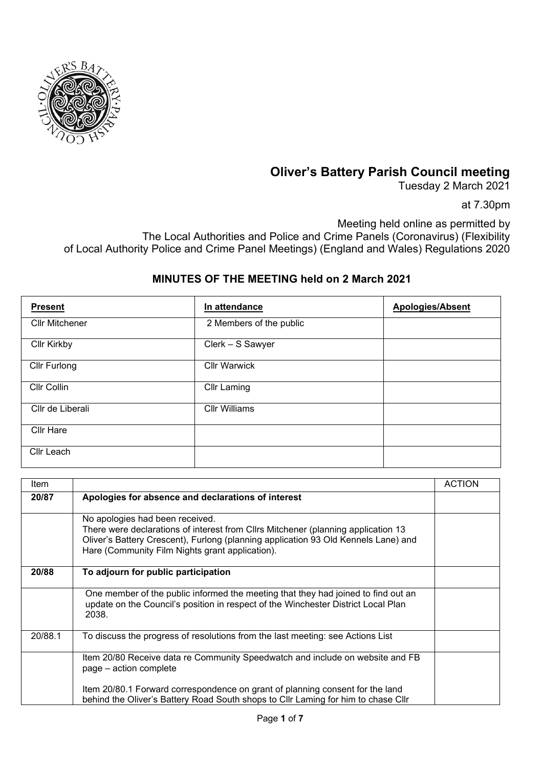

## **Oliver's Battery Parish Council meeting**

Tuesday 2 March 2021

at 7.30pm

Meeting held online as permitted by The Local Authorities and Police and Crime Panels (Coronavirus) (Flexibility of Local Authority Police and Crime Panel Meetings) (England and Wales) Regulations 2020

## **MINUTES OF THE MEETING held on 2 March 2021**

| <b>Present</b>        | In attendance           | <b>Apologies/Absent</b> |
|-----------------------|-------------------------|-------------------------|
| <b>Cllr Mitchener</b> | 2 Members of the public |                         |
| <b>Cllr Kirkby</b>    | Clerk - S Sawyer        |                         |
| Cllr Furlong          | <b>Cllr Warwick</b>     |                         |
| Cllr Collin           | <b>Cllr Laming</b>      |                         |
| Cllr de Liberali      | <b>Cllr Williams</b>    |                         |
| <b>Cllr Hare</b>      |                         |                         |
| Cllr Leach            |                         |                         |

| ltem.   |                                                                                                                                                                                                                                                               | <b>ACTION</b> |
|---------|---------------------------------------------------------------------------------------------------------------------------------------------------------------------------------------------------------------------------------------------------------------|---------------|
| 20/87   | Apologies for absence and declarations of interest                                                                                                                                                                                                            |               |
|         | No apologies had been received.<br>There were declarations of interest from Cllrs Mitchener (planning application 13<br>Oliver's Battery Crescent), Furlong (planning application 93 Old Kennels Lane) and<br>Hare (Community Film Nights grant application). |               |
| 20/88   | To adjourn for public participation                                                                                                                                                                                                                           |               |
|         | One member of the public informed the meeting that they had joined to find out an<br>update on the Council's position in respect of the Winchester District Local Plan<br>2038.                                                                               |               |
| 20/88.1 | To discuss the progress of resolutions from the last meeting: see Actions List                                                                                                                                                                                |               |
|         | Item 20/80 Receive data re Community Speedwatch and include on website and FB<br>page - action complete                                                                                                                                                       |               |
|         | Item 20/80.1 Forward correspondence on grant of planning consent for the land<br>behind the Oliver's Battery Road South shops to Cllr Laming for him to chase Cllr                                                                                            |               |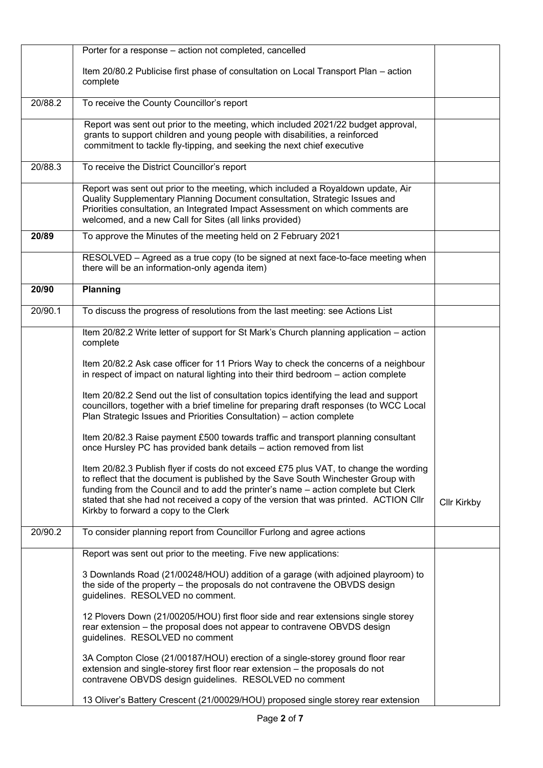|         | Porter for a response - action not completed, cancelled                                                                                                                                                                                                                                                                                                                                           |                    |
|---------|---------------------------------------------------------------------------------------------------------------------------------------------------------------------------------------------------------------------------------------------------------------------------------------------------------------------------------------------------------------------------------------------------|--------------------|
|         | Item 20/80.2 Publicise first phase of consultation on Local Transport Plan - action<br>complete                                                                                                                                                                                                                                                                                                   |                    |
| 20/88.2 | To receive the County Councillor's report                                                                                                                                                                                                                                                                                                                                                         |                    |
|         | Report was sent out prior to the meeting, which included 2021/22 budget approval,<br>grants to support children and young people with disabilities, a reinforced<br>commitment to tackle fly-tipping, and seeking the next chief executive                                                                                                                                                        |                    |
| 20/88.3 | To receive the District Councillor's report                                                                                                                                                                                                                                                                                                                                                       |                    |
|         | Report was sent out prior to the meeting, which included a Royaldown update, Air<br>Quality Supplementary Planning Document consultation, Strategic Issues and<br>Priorities consultation, an Integrated Impact Assessment on which comments are<br>welcomed, and a new Call for Sites (all links provided)                                                                                       |                    |
| 20/89   | To approve the Minutes of the meeting held on 2 February 2021                                                                                                                                                                                                                                                                                                                                     |                    |
|         | RESOLVED - Agreed as a true copy (to be signed at next face-to-face meeting when<br>there will be an information-only agenda item)                                                                                                                                                                                                                                                                |                    |
| 20/90   | <b>Planning</b>                                                                                                                                                                                                                                                                                                                                                                                   |                    |
| 20/90.1 | To discuss the progress of resolutions from the last meeting: see Actions List                                                                                                                                                                                                                                                                                                                    |                    |
|         | Item 20/82.2 Write letter of support for St Mark's Church planning application – action<br>complete                                                                                                                                                                                                                                                                                               |                    |
|         | Item 20/82.2 Ask case officer for 11 Priors Way to check the concerns of a neighbour<br>in respect of impact on natural lighting into their third bedroom - action complete                                                                                                                                                                                                                       |                    |
|         | Item 20/82.2 Send out the list of consultation topics identifying the lead and support<br>councillors, together with a brief timeline for preparing draft responses (to WCC Local<br>Plan Strategic Issues and Priorities Consultation) - action complete                                                                                                                                         |                    |
|         | Item 20/82.3 Raise payment £500 towards traffic and transport planning consultant<br>once Hursley PC has provided bank details - action removed from list                                                                                                                                                                                                                                         |                    |
|         | Item 20/82.3 Publish flyer if costs do not exceed £75 plus VAT, to change the wording<br>to reflect that the document is published by the Save South Winchester Group with<br>funding from the Council and to add the printer's name - action complete but Clerk<br>stated that she had not received a copy of the version that was printed. ACTION Cllr<br>Kirkby to forward a copy to the Clerk | <b>Cllr Kirkby</b> |
| 20/90.2 | To consider planning report from Councillor Furlong and agree actions                                                                                                                                                                                                                                                                                                                             |                    |
|         | Report was sent out prior to the meeting. Five new applications:                                                                                                                                                                                                                                                                                                                                  |                    |
|         | 3 Downlands Road (21/00248/HOU) addition of a garage (with adjoined playroom) to<br>the side of the property - the proposals do not contravene the OBVDS design<br>guidelines. RESOLVED no comment.                                                                                                                                                                                               |                    |
|         | 12 Plovers Down (21/00205/HOU) first floor side and rear extensions single storey<br>rear extension - the proposal does not appear to contravene OBVDS design<br>guidelines. RESOLVED no comment                                                                                                                                                                                                  |                    |
|         | 3A Compton Close (21/00187/HOU) erection of a single-storey ground floor rear<br>extension and single-storey first floor rear extension - the proposals do not<br>contravene OBVDS design guidelines. RESOLVED no comment                                                                                                                                                                         |                    |
|         | 13 Oliver's Battery Crescent (21/00029/HOU) proposed single storey rear extension                                                                                                                                                                                                                                                                                                                 |                    |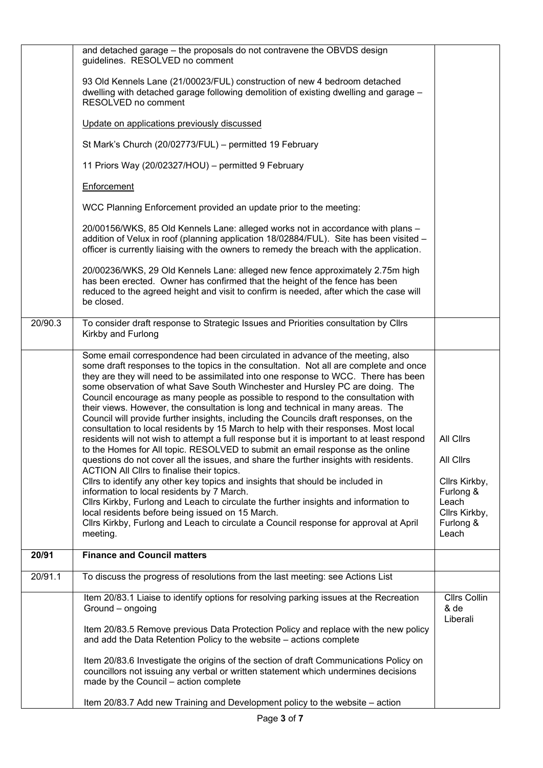|         | and detached garage - the proposals do not contravene the OBVDS design<br>guidelines. RESOLVED no comment                                                                                                                                                                                                                                                                                                                                                                                                                                                                                                                                                                                                                                                                                                                                                                                                                                                                                                                                                                                                                                                                                                                                                                                                                                                                                                    |                                                                                                      |
|---------|--------------------------------------------------------------------------------------------------------------------------------------------------------------------------------------------------------------------------------------------------------------------------------------------------------------------------------------------------------------------------------------------------------------------------------------------------------------------------------------------------------------------------------------------------------------------------------------------------------------------------------------------------------------------------------------------------------------------------------------------------------------------------------------------------------------------------------------------------------------------------------------------------------------------------------------------------------------------------------------------------------------------------------------------------------------------------------------------------------------------------------------------------------------------------------------------------------------------------------------------------------------------------------------------------------------------------------------------------------------------------------------------------------------|------------------------------------------------------------------------------------------------------|
|         | 93 Old Kennels Lane (21/00023/FUL) construction of new 4 bedroom detached<br>dwelling with detached garage following demolition of existing dwelling and garage -<br>RESOLVED no comment                                                                                                                                                                                                                                                                                                                                                                                                                                                                                                                                                                                                                                                                                                                                                                                                                                                                                                                                                                                                                                                                                                                                                                                                                     |                                                                                                      |
|         | Update on applications previously discussed                                                                                                                                                                                                                                                                                                                                                                                                                                                                                                                                                                                                                                                                                                                                                                                                                                                                                                                                                                                                                                                                                                                                                                                                                                                                                                                                                                  |                                                                                                      |
|         | St Mark's Church (20/02773/FUL) - permitted 19 February                                                                                                                                                                                                                                                                                                                                                                                                                                                                                                                                                                                                                                                                                                                                                                                                                                                                                                                                                                                                                                                                                                                                                                                                                                                                                                                                                      |                                                                                                      |
|         | 11 Priors Way (20/02327/HOU) - permitted 9 February                                                                                                                                                                                                                                                                                                                                                                                                                                                                                                                                                                                                                                                                                                                                                                                                                                                                                                                                                                                                                                                                                                                                                                                                                                                                                                                                                          |                                                                                                      |
|         | Enforcement                                                                                                                                                                                                                                                                                                                                                                                                                                                                                                                                                                                                                                                                                                                                                                                                                                                                                                                                                                                                                                                                                                                                                                                                                                                                                                                                                                                                  |                                                                                                      |
|         | WCC Planning Enforcement provided an update prior to the meeting:                                                                                                                                                                                                                                                                                                                                                                                                                                                                                                                                                                                                                                                                                                                                                                                                                                                                                                                                                                                                                                                                                                                                                                                                                                                                                                                                            |                                                                                                      |
|         | 20/00156/WKS, 85 Old Kennels Lane: alleged works not in accordance with plans -<br>addition of Velux in roof (planning application 18/02884/FUL). Site has been visited -<br>officer is currently liaising with the owners to remedy the breach with the application.                                                                                                                                                                                                                                                                                                                                                                                                                                                                                                                                                                                                                                                                                                                                                                                                                                                                                                                                                                                                                                                                                                                                        |                                                                                                      |
|         | 20/00236/WKS, 29 Old Kennels Lane: alleged new fence approximately 2.75m high<br>has been erected. Owner has confirmed that the height of the fence has been<br>reduced to the agreed height and visit to confirm is needed, after which the case will<br>be closed.                                                                                                                                                                                                                                                                                                                                                                                                                                                                                                                                                                                                                                                                                                                                                                                                                                                                                                                                                                                                                                                                                                                                         |                                                                                                      |
| 20/90.3 | To consider draft response to Strategic Issues and Priorities consultation by Cllrs<br>Kirkby and Furlong                                                                                                                                                                                                                                                                                                                                                                                                                                                                                                                                                                                                                                                                                                                                                                                                                                                                                                                                                                                                                                                                                                                                                                                                                                                                                                    |                                                                                                      |
|         | Some email correspondence had been circulated in advance of the meeting, also<br>some draft responses to the topics in the consultation. Not all are complete and once<br>they are they will need to be assimilated into one response to WCC. There has been<br>some observation of what Save South Winchester and Hursley PC are doing. The<br>Council encourage as many people as possible to respond to the consultation with<br>their views. However, the consultation is long and technical in many areas. The<br>Council will provide further insights, including the Councils draft responses, on the<br>consultation to local residents by 15 March to help with their responses. Most local<br>residents will not wish to attempt a full response but it is important to at least respond<br>to the Homes for All topic. RESOLVED to submit an email response as the online<br>questions do not cover all the issues, and share the further insights with residents.<br>ACTION All Cllrs to finalise their topics.<br>Cllrs to identify any other key topics and insights that should be included in<br>information to local residents by 7 March.<br>Cllrs Kirkby, Furlong and Leach to circulate the further insights and information to<br>local residents before being issued on 15 March.<br>Cllrs Kirkby, Furlong and Leach to circulate a Council response for approval at April<br>meeting. | All Cllrs<br>All Cllrs<br>Cllrs Kirkby,<br>Furlong &<br>Leach<br>Cllrs Kirkby,<br>Furlong &<br>Leach |
| 20/91   | <b>Finance and Council matters</b>                                                                                                                                                                                                                                                                                                                                                                                                                                                                                                                                                                                                                                                                                                                                                                                                                                                                                                                                                                                                                                                                                                                                                                                                                                                                                                                                                                           |                                                                                                      |
| 20/91.1 | To discuss the progress of resolutions from the last meeting: see Actions List                                                                                                                                                                                                                                                                                                                                                                                                                                                                                                                                                                                                                                                                                                                                                                                                                                                                                                                                                                                                                                                                                                                                                                                                                                                                                                                               |                                                                                                      |
|         | Item 20/83.1 Liaise to identify options for resolving parking issues at the Recreation<br>Ground - ongoing                                                                                                                                                                                                                                                                                                                                                                                                                                                                                                                                                                                                                                                                                                                                                                                                                                                                                                                                                                                                                                                                                                                                                                                                                                                                                                   | <b>Cllrs Collin</b><br>& de<br>Liberali                                                              |
|         | Item 20/83.5 Remove previous Data Protection Policy and replace with the new policy<br>and add the Data Retention Policy to the website - actions complete                                                                                                                                                                                                                                                                                                                                                                                                                                                                                                                                                                                                                                                                                                                                                                                                                                                                                                                                                                                                                                                                                                                                                                                                                                                   |                                                                                                      |
|         | Item 20/83.6 Investigate the origins of the section of draft Communications Policy on<br>councillors not issuing any verbal or written statement which undermines decisions<br>made by the Council - action complete                                                                                                                                                                                                                                                                                                                                                                                                                                                                                                                                                                                                                                                                                                                                                                                                                                                                                                                                                                                                                                                                                                                                                                                         |                                                                                                      |
|         | Item 20/83.7 Add new Training and Development policy to the website - action                                                                                                                                                                                                                                                                                                                                                                                                                                                                                                                                                                                                                                                                                                                                                                                                                                                                                                                                                                                                                                                                                                                                                                                                                                                                                                                                 |                                                                                                      |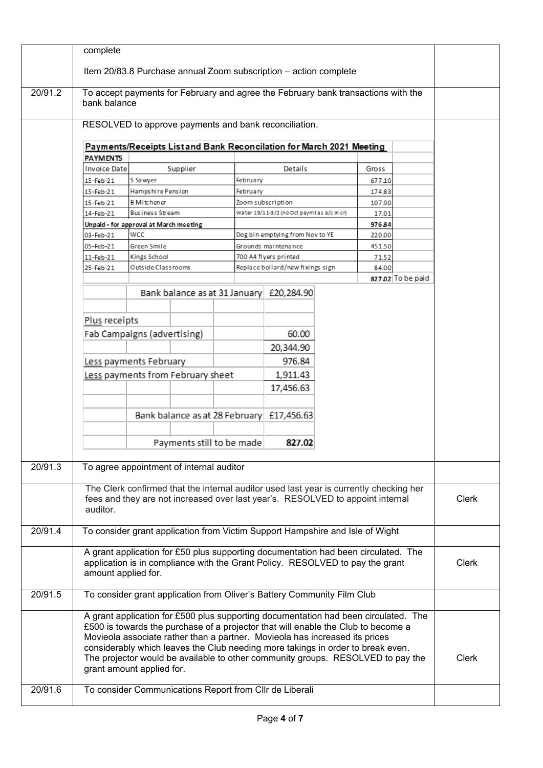|         | complete                                                                                                                                                                                                                                                                                                                                                                                                                                                   |                                       |                           |  |          |                                                                         |                 |                   |  |
|---------|------------------------------------------------------------------------------------------------------------------------------------------------------------------------------------------------------------------------------------------------------------------------------------------------------------------------------------------------------------------------------------------------------------------------------------------------------------|---------------------------------------|---------------------------|--|----------|-------------------------------------------------------------------------|-----------------|-------------------|--|
|         | Item 20/83.8 Purchase annual Zoom subscription - action complete                                                                                                                                                                                                                                                                                                                                                                                           |                                       |                           |  |          |                                                                         |                 |                   |  |
| 20/91.2 | To accept payments for February and agree the February bank transactions with the<br>bank balance                                                                                                                                                                                                                                                                                                                                                          |                                       |                           |  |          |                                                                         |                 |                   |  |
|         |                                                                                                                                                                                                                                                                                                                                                                                                                                                            |                                       |                           |  |          | RESOLVED to approve payments and bank reconciliation.                   |                 |                   |  |
|         |                                                                                                                                                                                                                                                                                                                                                                                                                                                            |                                       |                           |  |          | Payments/Receipts List and Bank Reconcilation for March 2021 Meeting    |                 |                   |  |
|         | <b>PAYMENTS</b>                                                                                                                                                                                                                                                                                                                                                                                                                                            |                                       |                           |  |          |                                                                         |                 |                   |  |
|         | Invoice Date                                                                                                                                                                                                                                                                                                                                                                                                                                               |                                       | Supplier                  |  |          | Details                                                                 | Gross           |                   |  |
|         | 15-Feb-21                                                                                                                                                                                                                                                                                                                                                                                                                                                  | S Sawyer                              |                           |  | February |                                                                         | 677.10          |                   |  |
|         | 15-Feb-21                                                                                                                                                                                                                                                                                                                                                                                                                                                  | Hampshire Pension                     |                           |  | February |                                                                         | 174.83          |                   |  |
|         | 15-Feb-21                                                                                                                                                                                                                                                                                                                                                                                                                                                  | <b>B</b> Mitchener<br>Business Stream |                           |  |          | Zoom subscription<br>Water 19/11-3/2 (no Oct paymtas a/c in cr)         | 107.90          |                   |  |
|         | 14-Feb-21<br>Unpaid - for approval at March meeting                                                                                                                                                                                                                                                                                                                                                                                                        |                                       |                           |  |          |                                                                         | 17.01<br>976.84 |                   |  |
|         | 03-Feb-21                                                                                                                                                                                                                                                                                                                                                                                                                                                  | wcc                                   |                           |  |          | Dog bin emptying from Nov to YE                                         | 220.00          |                   |  |
|         | 05-Feb-21                                                                                                                                                                                                                                                                                                                                                                                                                                                  | Green Smile                           |                           |  |          | Grounds maintenance                                                     | 451.50          |                   |  |
|         | 11-Feb-21                                                                                                                                                                                                                                                                                                                                                                                                                                                  | Kings School                          |                           |  |          | 700 A4 flyers printed                                                   | 71.52           |                   |  |
|         | 25-Feb-21                                                                                                                                                                                                                                                                                                                                                                                                                                                  | Outside Classrooms                    |                           |  |          | Replace bollard/new fixings sign                                        | 84.00           |                   |  |
|         |                                                                                                                                                                                                                                                                                                                                                                                                                                                            |                                       |                           |  |          |                                                                         |                 | 827.02 To be paid |  |
|         |                                                                                                                                                                                                                                                                                                                                                                                                                                                            |                                       |                           |  |          | Bank balance as at 31 January £20,284.90                                |                 |                   |  |
|         |                                                                                                                                                                                                                                                                                                                                                                                                                                                            |                                       |                           |  |          |                                                                         |                 |                   |  |
|         | Plus receipts                                                                                                                                                                                                                                                                                                                                                                                                                                              |                                       |                           |  |          |                                                                         |                 |                   |  |
|         | Fab Campaigns (advertising)                                                                                                                                                                                                                                                                                                                                                                                                                                |                                       |                           |  |          | 60.00                                                                   |                 |                   |  |
|         |                                                                                                                                                                                                                                                                                                                                                                                                                                                            |                                       |                           |  |          | 20,344.90                                                               |                 |                   |  |
|         | Less payments February                                                                                                                                                                                                                                                                                                                                                                                                                                     |                                       |                           |  |          | 976.84                                                                  |                 |                   |  |
|         | Less payments from February sheet                                                                                                                                                                                                                                                                                                                                                                                                                          |                                       |                           |  | 1,911.43 |                                                                         |                 |                   |  |
|         |                                                                                                                                                                                                                                                                                                                                                                                                                                                            |                                       |                           |  |          | 17,456.63                                                               |                 |                   |  |
|         |                                                                                                                                                                                                                                                                                                                                                                                                                                                            |                                       |                           |  |          | Bank balance as at 28 February £17,456.63                               |                 |                   |  |
|         |                                                                                                                                                                                                                                                                                                                                                                                                                                                            |                                       |                           |  |          |                                                                         |                 |                   |  |
|         |                                                                                                                                                                                                                                                                                                                                                                                                                                                            |                                       | Payments still to be made |  |          | 827.02                                                                  |                 |                   |  |
| 20/91.3 | To agree appointment of internal auditor                                                                                                                                                                                                                                                                                                                                                                                                                   |                                       |                           |  |          |                                                                         |                 |                   |  |
|         | The Clerk confirmed that the internal auditor used last year is currently checking her<br>fees and they are not increased over last year's. RESOLVED to appoint internal<br>auditor.                                                                                                                                                                                                                                                                       |                                       |                           |  |          | Clerk                                                                   |                 |                   |  |
| 20/91.4 | To consider grant application from Victim Support Hampshire and Isle of Wight                                                                                                                                                                                                                                                                                                                                                                              |                                       |                           |  |          |                                                                         |                 |                   |  |
|         | A grant application for £50 plus supporting documentation had been circulated. The<br>application is in compliance with the Grant Policy. RESOLVED to pay the grant<br>amount applied for.                                                                                                                                                                                                                                                                 |                                       |                           |  |          | <b>Clerk</b>                                                            |                 |                   |  |
| 20/91.5 |                                                                                                                                                                                                                                                                                                                                                                                                                                                            |                                       |                           |  |          | To consider grant application from Oliver's Battery Community Film Club |                 |                   |  |
|         | A grant application for £500 plus supporting documentation had been circulated. The<br>£500 is towards the purchase of a projector that will enable the Club to become a<br>Movieola associate rather than a partner. Movieola has increased its prices<br>considerably which leaves the Club needing more takings in order to break even.<br>The projector would be available to other community groups. RESOLVED to pay the<br>grant amount applied for. |                                       |                           |  |          | <b>Clerk</b>                                                            |                 |                   |  |
| 20/91.6 |                                                                                                                                                                                                                                                                                                                                                                                                                                                            |                                       |                           |  |          | To consider Communications Report from Cllr de Liberali                 |                 |                   |  |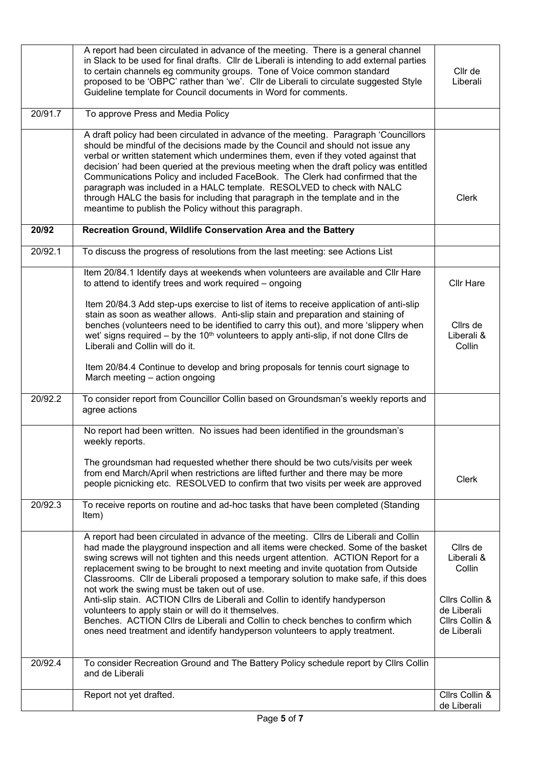|         | A report had been circulated in advance of the meeting. There is a general channel<br>in Slack to be used for final drafts. Cllr de Liberali is intending to add external parties<br>to certain channels eg community groups. Tone of Voice common standard<br>proposed to be 'OBPC' rather than 'we'. Cllr de Liberali to circulate suggested Style<br>Guideline template for Council documents in Word for comments.                                                                                                                                                                                                                                        | Cllr de<br>Liberali                                            |
|---------|---------------------------------------------------------------------------------------------------------------------------------------------------------------------------------------------------------------------------------------------------------------------------------------------------------------------------------------------------------------------------------------------------------------------------------------------------------------------------------------------------------------------------------------------------------------------------------------------------------------------------------------------------------------|----------------------------------------------------------------|
| 20/91.7 | To approve Press and Media Policy                                                                                                                                                                                                                                                                                                                                                                                                                                                                                                                                                                                                                             |                                                                |
|         | A draft policy had been circulated in advance of the meeting. Paragraph 'Councillors<br>should be mindful of the decisions made by the Council and should not issue any<br>verbal or written statement which undermines them, even if they voted against that<br>decision' had been queried at the previous meeting when the draft policy was entitled<br>Communications Policy and included FaceBook. The Clerk had confirmed that the<br>paragraph was included in a HALC template. RESOLVED to check with NALC<br>through HALC the basis for including that paragraph in the template and in the<br>meantime to publish the Policy without this paragraph. | <b>Clerk</b>                                                   |
| 20/92   | Recreation Ground, Wildlife Conservation Area and the Battery                                                                                                                                                                                                                                                                                                                                                                                                                                                                                                                                                                                                 |                                                                |
| 20/92.1 | To discuss the progress of resolutions from the last meeting: see Actions List                                                                                                                                                                                                                                                                                                                                                                                                                                                                                                                                                                                |                                                                |
|         | Item 20/84.1 Identify days at weekends when volunteers are available and Cllr Hare<br>to attend to identify trees and work required - ongoing                                                                                                                                                                                                                                                                                                                                                                                                                                                                                                                 | <b>Cllr Hare</b>                                               |
|         | Item 20/84.3 Add step-ups exercise to list of items to receive application of anti-slip<br>stain as soon as weather allows. Anti-slip stain and preparation and staining of<br>benches (volunteers need to be identified to carry this out), and more 'slippery when<br>wet' signs required – by the 10 <sup>th</sup> volunteers to apply anti-slip, if not done Cllrs de<br>Liberali and Collin will do it.<br>Item 20/84.4 Continue to develop and bring proposals for tennis court signage to<br>March meeting - action ongoing                                                                                                                            | Cllrs de<br>Liberali &<br>Collin                               |
| 20/92.2 | To consider report from Councillor Collin based on Groundsman's weekly reports and                                                                                                                                                                                                                                                                                                                                                                                                                                                                                                                                                                            |                                                                |
|         | agree actions                                                                                                                                                                                                                                                                                                                                                                                                                                                                                                                                                                                                                                                 |                                                                |
|         | No report had been written. No issues had been identified in the groundsman's<br>weekly reports.<br>The groundsman had requested whether there should be two cuts/visits per week<br>from end March/April when restrictions are lifted further and there may be more<br>people picnicking etc. RESOLVED to confirm that two visits per week are approved                                                                                                                                                                                                                                                                                                      | <b>Clerk</b>                                                   |
| 20/92.3 | To receive reports on routine and ad-hoc tasks that have been completed (Standing<br>Item)                                                                                                                                                                                                                                                                                                                                                                                                                                                                                                                                                                    |                                                                |
|         | A report had been circulated in advance of the meeting. Cllrs de Liberali and Collin<br>had made the playground inspection and all items were checked. Some of the basket<br>swing screws will not tighten and this needs urgent attention. ACTION Report for a<br>replacement swing to be brought to next meeting and invite quotation from Outside<br>Classrooms. Cllr de Liberali proposed a temporary solution to make safe, if this does<br>not work the swing must be taken out of use.                                                                                                                                                                 | Cllrs de<br>Liberali &<br>Collin                               |
|         | Anti-slip stain. ACTION Cllrs de Liberali and Collin to identify handyperson<br>volunteers to apply stain or will do it themselves.<br>Benches. ACTION Cllrs de Liberali and Collin to check benches to confirm which<br>ones need treatment and identify handyperson volunteers to apply treatment.                                                                                                                                                                                                                                                                                                                                                          | Cllrs Collin &<br>de Liberali<br>Cllrs Collin &<br>de Liberali |
| 20/92.4 | To consider Recreation Ground and The Battery Policy schedule report by Cllrs Collin<br>and de Liberali                                                                                                                                                                                                                                                                                                                                                                                                                                                                                                                                                       |                                                                |
|         | Report not yet drafted.                                                                                                                                                                                                                                                                                                                                                                                                                                                                                                                                                                                                                                       | Cllrs Collin &<br>de Liberali                                  |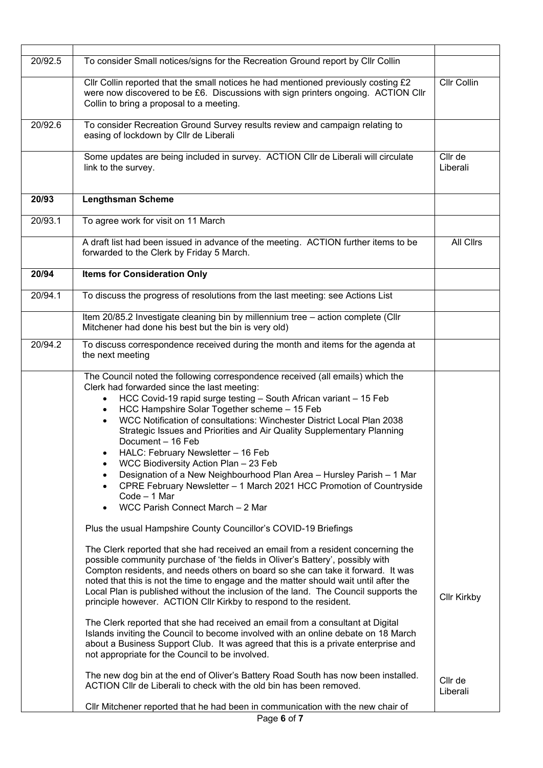| 20/92.5 | To consider Small notices/signs for the Recreation Ground report by Cllr Collin                                                                                                                                                                                                                                                                                                                                                                                                                                                                                                                                                                                                                                                                                                                                                                                                                                                                                                                                                                                                                                                                                                                                                                                                                                                                                                                                                                                 |                     |  |  |
|---------|-----------------------------------------------------------------------------------------------------------------------------------------------------------------------------------------------------------------------------------------------------------------------------------------------------------------------------------------------------------------------------------------------------------------------------------------------------------------------------------------------------------------------------------------------------------------------------------------------------------------------------------------------------------------------------------------------------------------------------------------------------------------------------------------------------------------------------------------------------------------------------------------------------------------------------------------------------------------------------------------------------------------------------------------------------------------------------------------------------------------------------------------------------------------------------------------------------------------------------------------------------------------------------------------------------------------------------------------------------------------------------------------------------------------------------------------------------------------|---------------------|--|--|
|         | Cllr Collin reported that the small notices he had mentioned previously costing £2<br>were now discovered to be £6. Discussions with sign printers ongoing. ACTION Cllr<br>Collin to bring a proposal to a meeting.                                                                                                                                                                                                                                                                                                                                                                                                                                                                                                                                                                                                                                                                                                                                                                                                                                                                                                                                                                                                                                                                                                                                                                                                                                             | <b>Cllr Collin</b>  |  |  |
| 20/92.6 | To consider Recreation Ground Survey results review and campaign relating to<br>easing of lockdown by Cllr de Liberali                                                                                                                                                                                                                                                                                                                                                                                                                                                                                                                                                                                                                                                                                                                                                                                                                                                                                                                                                                                                                                                                                                                                                                                                                                                                                                                                          |                     |  |  |
|         | Some updates are being included in survey. ACTION CIIr de Liberali will circulate<br>link to the survey.                                                                                                                                                                                                                                                                                                                                                                                                                                                                                                                                                                                                                                                                                                                                                                                                                                                                                                                                                                                                                                                                                                                                                                                                                                                                                                                                                        | Cllr de<br>Liberali |  |  |
| 20/93   | <b>Lengthsman Scheme</b>                                                                                                                                                                                                                                                                                                                                                                                                                                                                                                                                                                                                                                                                                                                                                                                                                                                                                                                                                                                                                                                                                                                                                                                                                                                                                                                                                                                                                                        |                     |  |  |
| 20/93.1 | To agree work for visit on 11 March                                                                                                                                                                                                                                                                                                                                                                                                                                                                                                                                                                                                                                                                                                                                                                                                                                                                                                                                                                                                                                                                                                                                                                                                                                                                                                                                                                                                                             |                     |  |  |
|         | A draft list had been issued in advance of the meeting. ACTION further items to be<br>forwarded to the Clerk by Friday 5 March.                                                                                                                                                                                                                                                                                                                                                                                                                                                                                                                                                                                                                                                                                                                                                                                                                                                                                                                                                                                                                                                                                                                                                                                                                                                                                                                                 | All Cllrs           |  |  |
| 20/94   | <b>Items for Consideration Only</b>                                                                                                                                                                                                                                                                                                                                                                                                                                                                                                                                                                                                                                                                                                                                                                                                                                                                                                                                                                                                                                                                                                                                                                                                                                                                                                                                                                                                                             |                     |  |  |
| 20/94.1 | To discuss the progress of resolutions from the last meeting: see Actions List                                                                                                                                                                                                                                                                                                                                                                                                                                                                                                                                                                                                                                                                                                                                                                                                                                                                                                                                                                                                                                                                                                                                                                                                                                                                                                                                                                                  |                     |  |  |
|         | Item 20/85.2 Investigate cleaning bin by millennium tree - action complete (Cllr<br>Mitchener had done his best but the bin is very old)                                                                                                                                                                                                                                                                                                                                                                                                                                                                                                                                                                                                                                                                                                                                                                                                                                                                                                                                                                                                                                                                                                                                                                                                                                                                                                                        |                     |  |  |
| 20/94.2 | To discuss correspondence received during the month and items for the agenda at<br>the next meeting                                                                                                                                                                                                                                                                                                                                                                                                                                                                                                                                                                                                                                                                                                                                                                                                                                                                                                                                                                                                                                                                                                                                                                                                                                                                                                                                                             |                     |  |  |
|         | The Council noted the following correspondence received (all emails) which the<br>Clerk had forwarded since the last meeting:<br>HCC Covid-19 rapid surge testing - South African variant - 15 Feb<br>$\bullet$<br>HCC Hampshire Solar Together scheme - 15 Feb<br>$\bullet$<br>WCC Notification of consultations: Winchester District Local Plan 2038<br>$\bullet$<br>Strategic Issues and Priorities and Air Quality Supplementary Planning<br>Document - 16 Feb<br>HALC: February Newsletter - 16 Feb<br>WCC Biodiversity Action Plan - 23 Feb<br>$\bullet$<br>Designation of a New Neighbourhood Plan Area - Hursley Parish - 1 Mar<br>$\bullet$<br>CPRE February Newsletter - 1 March 2021 HCC Promotion of Countryside<br>$\bullet$<br>Code - 1 Mar<br>WCC Parish Connect March - 2 Mar<br>Plus the usual Hampshire County Councillor's COVID-19 Briefings<br>The Clerk reported that she had received an email from a resident concerning the<br>possible community purchase of 'the fields in Oliver's Battery', possibly with<br>Compton residents, and needs others on board so she can take it forward. It was<br>noted that this is not the time to engage and the matter should wait until after the<br>Local Plan is published without the inclusion of the land. The Council supports the<br>principle however. ACTION Cllr Kirkby to respond to the resident.<br>The Clerk reported that she had received an email from a consultant at Digital | <b>Cllr Kirkby</b>  |  |  |
|         | Islands inviting the Council to become involved with an online debate on 18 March<br>about a Business Support Club. It was agreed that this is a private enterprise and<br>not appropriate for the Council to be involved.<br>The new dog bin at the end of Oliver's Battery Road South has now been installed.                                                                                                                                                                                                                                                                                                                                                                                                                                                                                                                                                                                                                                                                                                                                                                                                                                                                                                                                                                                                                                                                                                                                                 |                     |  |  |
|         | ACTION Cllr de Liberali to check with the old bin has been removed.                                                                                                                                                                                                                                                                                                                                                                                                                                                                                                                                                                                                                                                                                                                                                                                                                                                                                                                                                                                                                                                                                                                                                                                                                                                                                                                                                                                             | Cllr de<br>Liberali |  |  |
|         | CIIr Mitchener reported that he had been in communication with the new chair of<br>Page 6 of 7                                                                                                                                                                                                                                                                                                                                                                                                                                                                                                                                                                                                                                                                                                                                                                                                                                                                                                                                                                                                                                                                                                                                                                                                                                                                                                                                                                  |                     |  |  |